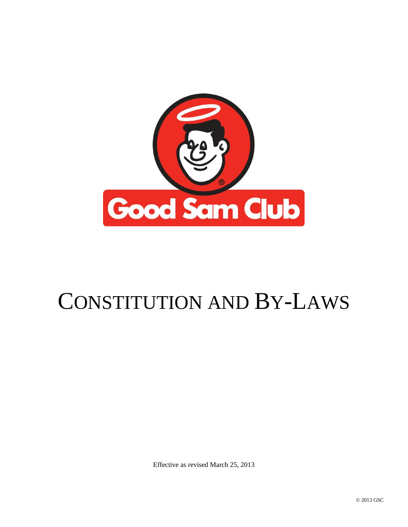

# CONSTITUTION AND BY-LAWS

Effective as revised March 25, 2013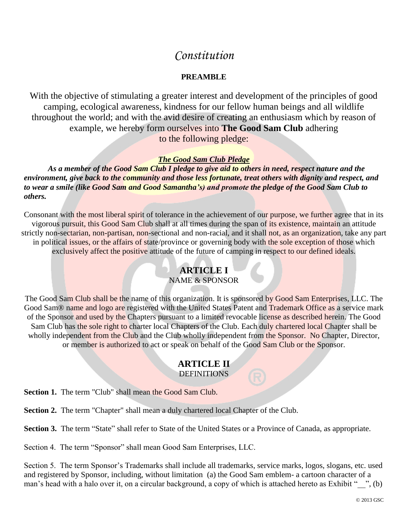# *Constitution*

## **PREAMBLE**

With the objective of stimulating a greater interest and development of the principles of good camping, ecological awareness, kindness for our fellow human beings and all wildlife throughout the world; and with the avid desire of creating an enthusiasm which by reason of example, we hereby form ourselves into **The Good Sam Club** adhering to the following pledge:

#### *The Good Sam Club Pledge*

*As a member of the Good Sam Club I pledge to give aid to others in need, respect nature and the environment, give back to the community and those less fortunate, treat others with dignity and respect, and to wear a smile (like Good Sam and Good Samantha's) and promote the pledge of the Good Sam Club to others.*

Consonant with the most liberal spirit of tolerance in the achievement of our purpose, we further agree that in its vigorous pursuit, this Good Sam Club shall at all times during the span of its existence, maintain an attitude strictly non-sectarian, non-partisan, non-sectional and non-racial, and it shall not, as an organization, take any part in political issues, or the affairs of state/province or governing body with the sole exception of those which exclusively affect the positive attitude of the future of camping in respect to our defined ideals.

# **ARTICLE I**

#### NAME & SPONSOR

The Good Sam Club shall be the name of this organization. It is sponsored by Good Sam Enterprises, LLC. The Good Sam® name and logo are registered with the United States Patent and Trademark Office as a service mark of the Sponsor and used by the Chapters pursuant to a limited revocable license as described herein. The Good Sam Club has the sole right to charter local Chapters of the Club. Each duly chartered local Chapter shall be wholly independent from the Club and the Club wholly independent from the Sponsor. No Chapter, Director, or member is authorized to act or speak on behalf of the Good Sam Club or the Sponsor.

#### **ARTICLE II** DEFINITIONS

**Section 1.** The term "Club" shall mean the Good Sam Club.

**Section 2.** The term "Chapter" shall mean a duly chartered local Chapter of the Club.

**Section 3.** The term "State" shall refer to State of the United States or a Province of Canada, as appropriate.

Section 4. The term "Sponsor" shall mean Good Sam Enterprises, LLC.

Section 5. The term Sponsor's Trademarks shall include all trademarks, service marks, logos, slogans, etc. used and registered by Sponsor, including, without limitation (a) the Good Sam emblem- a cartoon character of a man's head with a halo over it, on a circular background, a copy of which is attached hereto as Exhibit "', (b)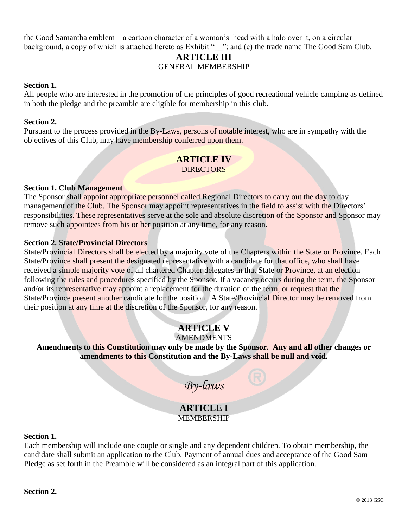the Good Samantha emblem – a cartoon character of a woman's head with a halo over it, on a circular background, a copy of which is attached hereto as Exhibit "\_\_"; and (c) the trade name The Good Sam Club.

## **ARTICLE III**

#### GENERAL MEMBERSHIP

#### **Section 1.**

All people who are interested in the promotion of the principles of good recreational vehicle camping as defined in both the pledge and the preamble are eligible for membership in this club.

#### **Section 2.**

Pursuant to the process provided in the By-Laws, persons of notable interest, who are in sympathy with the objectives of this Club, may have membership conferred upon them.

#### **ARTICLE IV DIRECTORS**

#### **Section 1. Club Management**

The Sponsor shall appoint appropriate personnel called Regional Directors to carry out the day to day management of the Club. The Sponsor may appoint representatives in the field to assist with the Directors' responsibilities. These representatives serve at the sole and absolute discretion of the Sponsor and Sponsor may remove such appointees from his or her position at any time, for any reason.

#### **Section 2. State/Provincial Directors**

State/Provincial Directors shall be elected by a majority vote of the Chapters within the State or Province. Each State/Province shall present the designated representative with a candidate for that office, who shall have received a simple majority vote of all chartered Chapter delegates in that State or Province, at an election following the rules and procedures specified by the Sponsor. If a vacancy occurs during the term, the Sponsor and/or its representative may appoint a replacement for the duration of the term, or request that the State/Province present another candidate for the position. A State/Provincial Director may be removed from their position at any time at the discretion of the Sponsor, for any reason.

# **ARTICLE V**

#### AMENDMENTS

**Amendments to this Constitution may only be made by the Sponsor. Any and all other changes or amendments to this Constitution and the By-Laws shall be null and void.**

*By-laws* 

#### **ARTICLE I** MEMBERSHIP

#### **Section 1.**

Each membership will include one couple or single and any dependent children. To obtain membership, the candidate shall submit an application to the Club. Payment of annual dues and acceptance of the Good Sam Pledge as set forth in the Preamble will be considered as an integral part of this application.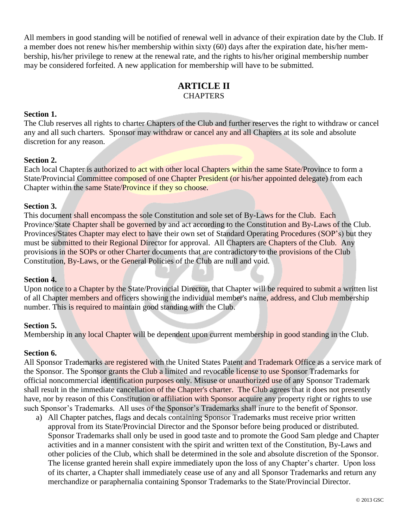All members in good standing will be notified of renewal well in advance of their expiration date by the Club. If a member does not renew his/her membership within sixty (60) days after the expiration date, his/her membership, his/her privilege to renew at the renewal rate, and the rights to his/her original membership number may be considered forfeited. A new application for membership will have to be submitted.

#### **ARTICLE II CHAPTERS**

#### **Section 1.**

The Club reserves all rights to charter Chapters of the Club and further reserves the right to withdraw or cancel any and all such charters. Sponsor may withdraw or cancel any and all Chapters at its sole and absolute discretion for any reason.

#### **Section 2.**

Each local Chapter is authorized to act with other local Chapters within the same State/Province to form a State/Provincial Committee composed of one Chapter President (or his/her appointed delegate) from each Chapter within the same State/Province if they so choose.

#### **Section 3.**

This document shall encompass the sole Constitution and sole set of By-Laws for the Club. Each Province/State Chapter shall be governed by and act according to the Constitution and By-Laws of the Club. Provinces/States Chapter may elect to have their own set of Standard Operating Procedures (SOP's) but they must be submitted to their Regional Director for approval. All Chapters are Chapters of the Club. Any provisions in the SOPs or other Charter documents that are contradictory to the provisions of the Club Constitution, By-Laws, or the General Policies of the Club are null and void.

#### **Section 4.**

Upon notice to a Chapter by the State/Provincial Director, that Chapter will be required to submit a written list of all Chapter members and officers showing the individual member's name, address, and Club membership number. This is required to maintain good standing with the Club.

#### **Section 5.**

Membership in any local Chapter will be dependent upon current membership in good standing in the Club.

#### **Section 6.**

All Sponsor Trademarks are registered with the United States Patent and Trademark Office as a service mark of the Sponsor. The Sponsor grants the Club a limited and revocable license to use Sponsor Trademarks for official noncommercial identification purposes only. Misuse or unauthorized use of any Sponsor Trademark shall result in the immediate cancellation of the Chapter's charter. The Club agrees that it does not presently have, nor by reason of this Constitution or affiliation with Sponsor acquire any property right or rights to use such Sponsor's Trademarks. All uses of the Sponsor's Trademarks shall inure to the benefit of Sponsor.

a) All Chapter patches, flags and decals containing Sponsor Trademarks must receive prior written approval from its State/Provincial Director and the Sponsor before being produced or distributed. Sponsor Trademarks shall only be used in good taste and to promote the Good Sam pledge and Chapter activities and in a manner consistent with the spirit and written text of the Constitution, By-Laws and other policies of the Club, which shall be determined in the sole and absolute discretion of the Sponsor. The license granted herein shall expire immediately upon the loss of any Chapter's charter. Upon loss of its charter, a Chapter shall immediately cease use of any and all Sponsor Trademarks and return any merchandize or paraphernalia containing Sponsor Trademarks to the State/Provincial Director.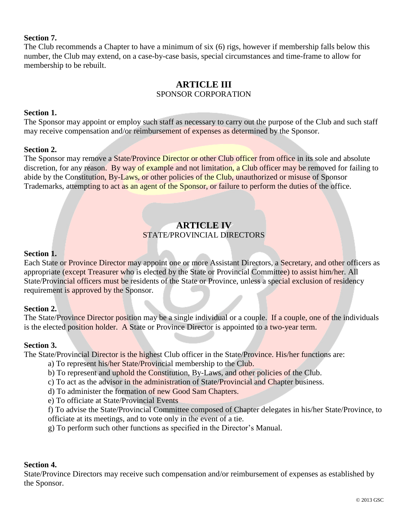#### **Section 7.**

The Club recommends a Chapter to have a minimum of six (6) rigs, however if membership falls below this number, the Club may extend, on a case-by-case basis, special circumstances and time-frame to allow for membership to be rebuilt.

#### **ARTICLE III** SPONSOR CORPORATION

#### **Section 1.**

The Sponsor may appoint or employ such staff as necessary to carry out the purpose of the Club and such staff may receive compensation and/or reimbursement of expenses as determined by the Sponsor.

#### **Section 2.**

The Sponsor may remove a State/Province Director or other Club officer from office in its sole and absolute discretion, for any reason. By way of example and not limitation, a Club officer may be removed for failing to abide by the Constitution, By-Laws, or other policies of the Club, unauthorized or misuse of Sponsor Trademarks, attempting to act as an agent of the Sponsor, or failure to perform the duties of the office.

#### **ARTICLE IV** STATE/PROVINCIAL DIRECTORS

#### **Section 1.**

Each State or Province Director may appoint one or more Assistant Directors, a Secretary, and other officers as appropriate (except Treasurer who is elected by the State or Provincial Committee) to assist him/her. All State/Provincial officers must be residents of the State or Province, unless a special exclusion of residency requirement is approved by the Sponsor.

#### **Section 2.**

The State/Province Director position may be a single individual or a couple. If a couple, one of the individuals is the elected position holder. A State or Province Director is appointed to a two-year term.

#### **Section 3.**

The State/Provincial Director is the highest Club officer in the State/Province. His/her functions are:

- a) To represent his/her State/Provincial membership to the Club.
- b) To represent and uphold the Constitution, By-Laws, and other policies of the Club.
- c) To act as the advisor in the administration of State/Provincial and Chapter business.
- d) To administer the formation of new Good Sam Chapters.
- e) To officiate at State/Provincial Events

f) To advise the State/Provincial Committee composed of Chapter delegates in his/her State/Province, to officiate at its meetings, and to vote only in the event of a tie.

g) To perform such other functions as specified in the Director's Manual.

#### **Section 4.**

State/Province Directors may receive such compensation and/or reimbursement of expenses as established by the Sponsor.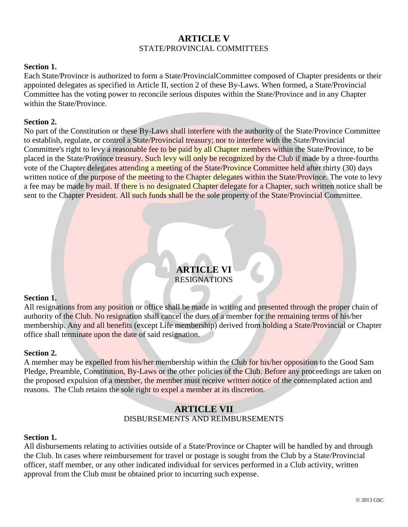#### **ARTICLE V** STATE/PROVINCIAL COMMITTEES

#### **Section 1.**

Each State/Province is authorized to form a State/ProvincialCommittee composed of Chapter presidents or their appointed delegates as specified in Article II, section 2 of these By-Laws. When formed, a State/Provincial Committee has the voting power to reconcile serious disputes within the State/Province and in any Chapter within the State/Province.

#### **Section 2.**

No part of the Constitution or these By-Laws shall interfere with the authority of the State/Province Committee to establish, regulate, or control a State/Provincial treasury; nor to interfere with the State/Provincial Committee's right to levy a reasonable fee to be paid by all Chapter members within the State/Province, to be placed in the State/Province treasury. Such levy will only be recognized by the Club if made by a three-fourths vote of the Chapter delegates attending a meeting of the State/Province Committee held after thirty (30) days written notice of the purpose of the meeting to the Chapter delegates within the State/Province. The vote to levy a fee may be made by mail. If there is no designated Chapter delegate for a Chapter, such written notice shall be sent to the Chapter President. All such funds shall be the sole property of the State/Provincial Committee.

## **ARTICLE VI** RESIGNATIONS

#### **Section 1.**

All resignations from any position or office shall be made in writing and presented through the proper chain of authority of the Club. No resignation shall cancel the dues of a member for the remaining terms of his/her membership. Any and all benefits (except Life membership) derived from holding a State/Provincial or Chapter office shall terminate upon the date of said resignation.

#### **Section 2.**

A member may be expelled from his/her membership within the Club for his/her opposition to the Good Sam Pledge, Preamble, Constitution, By-Laws or the other policies of the Club. Before any proceedings are taken on the proposed expulsion of a member, the member must receive written notice of the contemplated action and reasons. The Club retains the sole right to expel a member at its discretion.

#### **ARTICLE VII** DISBURSEMENTS AND REIMBURSEMENTS

#### **Section 1.**

All disbursements relating to activities outside of a State/Province or Chapter will be handled by and through the Club. In cases where reimbursement for travel or postage is sought from the Club by a State/Provincial officer, staff member, or any other indicated individual for services performed in a Club activity, written approval from the Club must be obtained prior to incurring such expense.